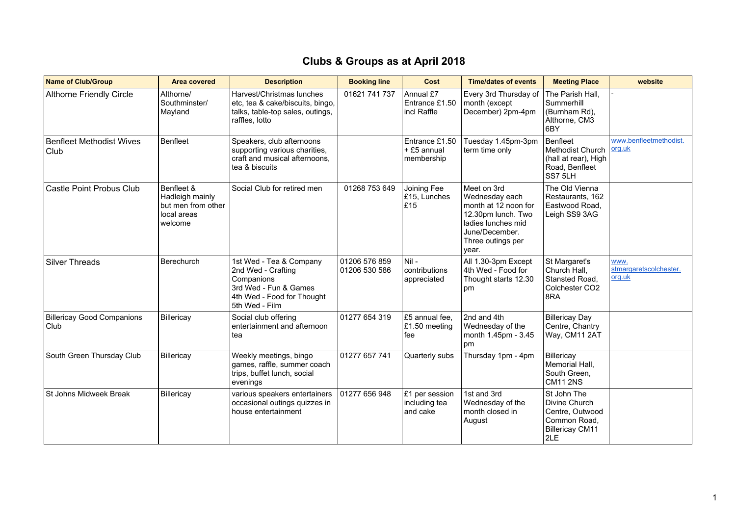| <b>Name of Club/Group</b>                 | <b>Area covered</b>                                                           | <b>Description</b>                                                                                                                   | <b>Booking line</b>            | Cost                                        | <b>Time/dates of events</b>                                                                                                                       | <b>Meeting Place</b>                                                                             | website                                  |
|-------------------------------------------|-------------------------------------------------------------------------------|--------------------------------------------------------------------------------------------------------------------------------------|--------------------------------|---------------------------------------------|---------------------------------------------------------------------------------------------------------------------------------------------------|--------------------------------------------------------------------------------------------------|------------------------------------------|
| <b>Althorne Friendly Circle</b>           | Althorne/<br>Southminster/<br>Mayland                                         | Harvest/Christmas lunches<br>etc, tea & cake/biscuits, bingo,<br>talks, table-top sales, outings,<br>raffles, lotto                  | 01621 741 737                  | Annual £7<br>Entrance £1.50<br>incl Raffle  | Every 3rd Thursday of<br>month (except<br>December) 2pm-4pm                                                                                       | The Parish Hall,<br>Summerhill<br>(Burnham Rd),<br>Althorne, CM3<br>6BY                          |                                          |
| Benfleet Methodist Wives<br>Club          | <b>Benfleet</b>                                                               | Speakers, club afternoons<br>supporting various charities,<br>craft and musical afternoons,<br>tea & biscuits                        |                                | Entrance £1.50<br>+ £5 annual<br>membership | Tuesday 1.45pm-3pm<br>term time only                                                                                                              | Benfleet<br>Methodist Church<br>(hall at rear), High<br>Road, Benfleet<br>SS7 5LH                | www.benfleetmethodist.<br>org.uk         |
| <b>Castle Point Probus Club</b>           | Benfleet &<br>Hadleigh mainly<br>but men from other<br>local areas<br>welcome | Social Club for retired men                                                                                                          | 01268 753 649                  | Joining Fee<br>£15, Lunches<br>E15          | Meet on 3rd<br>Wednesday each<br>month at 12 noon for<br>12.30pm lunch. Two<br>ladies lunches mid<br>June/December.<br>Three outings per<br>year. | The Old Vienna<br>Restaurants, 162<br>Eastwood Road,<br>Leigh SS9 3AG                            |                                          |
| Silver Threads                            | Berechurch                                                                    | 1st Wed - Tea & Company<br>2nd Wed - Crafting<br>Companions<br>3rd Wed - Fun & Games<br>4th Wed - Food for Thought<br>5th Wed - Film | 01206 576 859<br>01206 530 586 | Nil-<br>contributions<br>appreciated        | All 1.30-3pm Except<br>4th Wed - Food for<br>Thought starts 12.30<br>pm                                                                           | St Margaret's<br>Church Hall,<br>Stansted Road.<br>Colchester CO <sub>2</sub><br>8RA             | www.<br>stmargaretscolchester.<br>org.uk |
| <b>Billericay Good Companions</b><br>Club | Billericay                                                                    | Social club offering<br>entertainment and afternoon<br>tea                                                                           | 01277 654 319                  | £5 annual fee,<br>£1.50 meeting<br>fee      | 2nd and 4th<br>Wednesday of the<br>month 1.45pm - 3.45<br>pm                                                                                      | <b>Billericay Day</b><br>Centre, Chantry<br>Way, CM11 2AT                                        |                                          |
| South Green Thursday Club                 | Billericay                                                                    | Weekly meetings, bingo<br>games, raffle, summer coach<br>trips, buffet lunch, social<br>evenings                                     | 01277 657 741                  | Quarterly subs                              | Thursday 1pm - 4pm                                                                                                                                | Billericay<br>Memorial Hall.<br>South Green,<br><b>CM11 2NS</b>                                  |                                          |
| St Johns Midweek Break                    | Billericay                                                                    | various speakers entertainers<br>occasional outings quizzes in<br>house entertainment                                                | 01277 656 948                  | £1 per session<br>including tea<br>and cake | 1st and 3rd<br>Wednesday of the<br>month closed in<br>August                                                                                      | St John The<br>Divine Church<br>Centre, Outwood<br>Common Road.<br><b>Billericay CM11</b><br>2LE |                                          |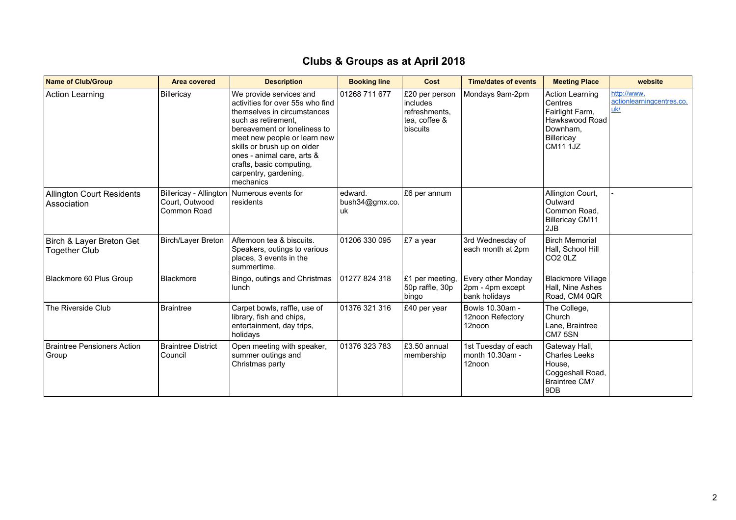| <b>Name of Club/Group</b>                        | <b>Area covered</b>                                     | <b>Description</b>                                                                                                                                                                                                                                                                                               | <b>Booking line</b>              | Cost                                                                     | <b>Time/dates of events</b>                             | <b>Meeting Place</b>                                                                                                | website                                         |
|--------------------------------------------------|---------------------------------------------------------|------------------------------------------------------------------------------------------------------------------------------------------------------------------------------------------------------------------------------------------------------------------------------------------------------------------|----------------------------------|--------------------------------------------------------------------------|---------------------------------------------------------|---------------------------------------------------------------------------------------------------------------------|-------------------------------------------------|
| Action Learning                                  | Billericay                                              | We provide services and<br>activities for over 55s who find<br>themselves in circumstances<br>such as retirement.<br>bereavement or loneliness to<br>meet new people or learn new<br>skills or brush up on older<br>ones - animal care, arts &<br>crafts, basic computing,<br>carpentry, gardening,<br>mechanics | 01268 711 677                    | £20 per person<br>includes<br>refreshments,<br>tea, coffee &<br>biscuits | Mondays 9am-2pm                                         | <b>Action Learning</b><br>Centres<br>Fairlight Farm,<br>Hawkswood Road<br>Downham,<br>Billericay<br><b>CM11 1JZ</b> | http://www.<br>actionlearningcentres.co.<br>uk/ |
| Allington Court Residents<br>Association         | Billericay - Allington<br>Court, Outwood<br>Common Road | Numerous events for<br>residents                                                                                                                                                                                                                                                                                 | edward.<br>bush34@gmx.co.<br> uk | £6 per annum                                                             |                                                         | Allington Court,<br>Outward<br>Common Road,<br><b>Billericay CM11</b><br>2JB                                        |                                                 |
| Birch & Layer Breton Get<br><b>Together Club</b> | <b>Birch/Layer Breton</b>                               | Afternoon tea & biscuits.<br>Speakers, outings to various<br>places, 3 events in the<br>summertime.                                                                                                                                                                                                              | 01206 330 095                    | £7 a year                                                                | 3rd Wednesday of<br>each month at 2pm                   | <b>Birch Memorial</b><br>Hall, School Hill<br>CO <sub>2</sub> 0LZ                                                   |                                                 |
| Blackmore 60 Plus Group                          | <b>Blackmore</b>                                        | Bingo, outings and Christmas<br>lunch                                                                                                                                                                                                                                                                            | 01277 824 318                    | £1 per meeting,<br>50p raffle, 30p<br>bingo                              | Every other Monday<br>2pm - 4pm except<br>bank holidays | <b>Blackmore Village</b><br>Hall, Nine Ashes<br>Road, CM4 0QR                                                       |                                                 |
| The Riverside Club                               | <b>Braintree</b>                                        | Carpet bowls, raffle, use of<br>library, fish and chips,<br>entertainment, day trips,<br>holidays                                                                                                                                                                                                                | 01376 321 316                    | £40 per year                                                             | Bowls 10.30am -<br>12noon Refectory<br>12noon           | The College,<br>Church<br>Lane, Braintree<br>CM7 5SN                                                                |                                                 |
| Braintree Pensioners Action<br>Group             | <b>Braintree District</b><br>Council                    | Open meeting with speaker,<br>summer outings and<br>Christmas party                                                                                                                                                                                                                                              | 01376 323 783                    | £3.50 annual<br>membership                                               | 1st Tuesday of each<br>month 10.30am -<br>12noon        | Gateway Hall,<br><b>Charles Leeks</b><br>House,<br>Coggeshall Road,<br><b>Braintree CM7</b><br>9DB                  |                                                 |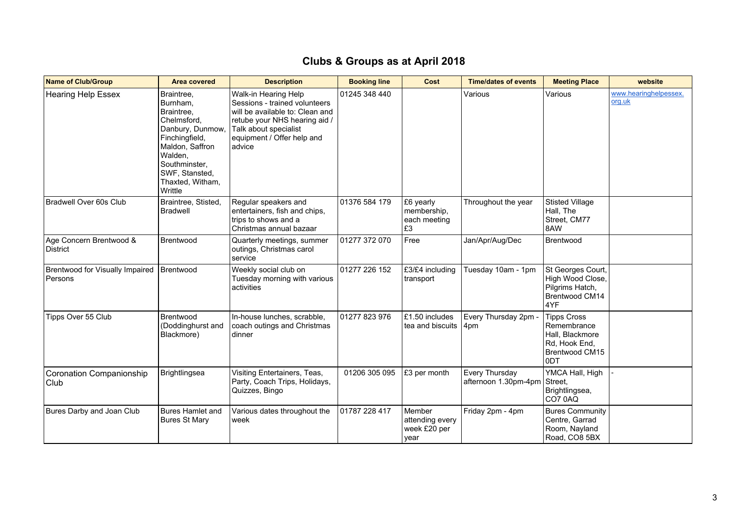| <b>Name of Club/Group</b>                    | <b>Area covered</b>                                                                                                                                                                       | <b>Description</b>                                                                                                                                                                         | <b>Booking line</b> | Cost                                              | <b>Time/dates of events</b>            | <b>Meeting Place</b>                                                                           | website                         |
|----------------------------------------------|-------------------------------------------------------------------------------------------------------------------------------------------------------------------------------------------|--------------------------------------------------------------------------------------------------------------------------------------------------------------------------------------------|---------------------|---------------------------------------------------|----------------------------------------|------------------------------------------------------------------------------------------------|---------------------------------|
| <b>Hearing Help Essex</b>                    | Braintree.<br>Burnham,<br>Braintree,<br>Chelmsford.<br>Danbury, Dunmow,<br>Finchingfield,<br>Maldon, Saffron<br>Walden,<br>Southminster.<br>SWF, Stansted,<br>Thaxted, Witham,<br>Writtle | Walk-in Hearing Help<br>Sessions - trained volunteers<br>will be available to: Clean and<br>retube your NHS hearing aid /<br>Talk about specialist<br>equipment / Offer help and<br>advice | 01245 348 440       |                                                   | Various                                | Various                                                                                        | www.hearinghelpessex.<br>org.uk |
| Bradwell Over 60s Club                       | Braintree, Stisted,<br><b>Bradwell</b>                                                                                                                                                    | Regular speakers and<br>entertainers, fish and chips,<br>trips to shows and a<br>Christmas annual bazaar                                                                                   | 01376 584 179       | £6 yearly<br>membership,<br>each meeting<br>£3    | Throughout the year                    | <b>Stisted Village</b><br>Hall, The<br>Street, CM77<br>8AW                                     |                                 |
| Age Concern Brentwood &<br>District          | Brentwood                                                                                                                                                                                 | Quarterly meetings, summer<br>outings, Christmas carol<br>service                                                                                                                          | 01277 372 070       | Free                                              | Jan/Apr/Aug/Dec                        | Brentwood                                                                                      |                                 |
| Brentwood for Visually Impaired<br>l Persons | Brentwood                                                                                                                                                                                 | Weekly social club on<br>Tuesday morning with various<br>activities                                                                                                                        | 01277 226 152       | £3/£4 including<br>transport                      | Tuesday 10am - 1pm                     | St Georges Court,<br>High Wood Close,<br>Pilgrims Hatch,<br>Brentwood CM14<br>4YF              |                                 |
| Tipps Over 55 Club                           | Brentwood<br>(Doddinghurst and<br>Blackmore)                                                                                                                                              | In-house lunches, scrabble,<br>coach outings and Christmas<br>dinner                                                                                                                       | 01277 823 976       | £1.50 includes<br>tea and biscuits                | Every Thursday 2pm -<br>4pm            | <b>Tipps Cross</b><br>Remembrance<br>Hall, Blackmore<br>Rd, Hook End,<br>Brentwood CM15<br>0DT |                                 |
| Coronation Companionship<br>Club             | Brightlingsea                                                                                                                                                                             | Visiting Entertainers, Teas,<br>Party, Coach Trips, Holidays,<br>Quizzes, Bingo                                                                                                            | 01206 305 095       | £3 per month                                      | Every Thursday<br>afternoon 1.30pm-4pm | YMCA Hall, High<br>Street,<br>Brightlingsea,<br>CO70AQ                                         |                                 |
| Bures Darby and Joan Club                    | Bures Hamlet and<br><b>Bures St Mary</b>                                                                                                                                                  | Various dates throughout the<br>week                                                                                                                                                       | 01787 228 417       | Member<br>attending every<br>week £20 per<br>year | Friday 2pm - 4pm                       | <b>Bures Community</b><br>Centre, Garrad<br>Room, Nayland<br>Road, CO8 5BX                     |                                 |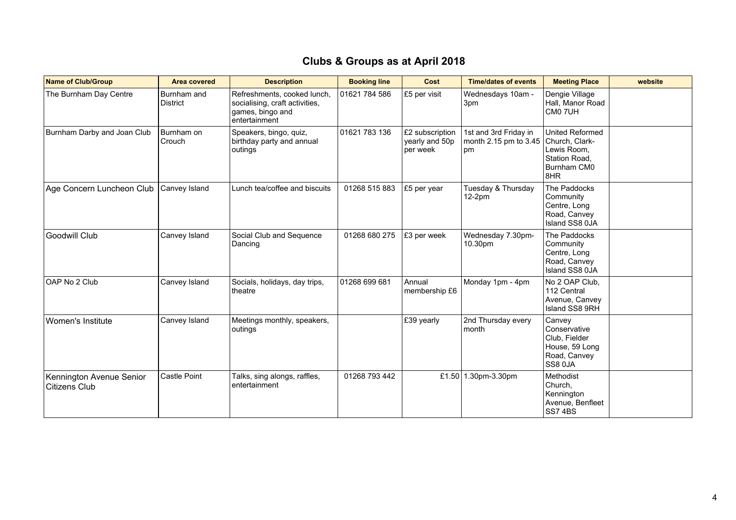| <b>Name of Club/Group</b>                        | <b>Area covered</b>            | <b>Description</b>                                                                                 | <b>Booking line</b> | Cost                                          | <b>Time/dates of events</b>                          | <b>Meeting Place</b>                                                                    | website |
|--------------------------------------------------|--------------------------------|----------------------------------------------------------------------------------------------------|---------------------|-----------------------------------------------|------------------------------------------------------|-----------------------------------------------------------------------------------------|---------|
| The Burnham Day Centre                           | Burnham and<br><b>District</b> | Refreshments, cooked lunch,<br>socialising, craft activities,<br>games, bingo and<br>entertainment | 01621 784 586       | £5 per visit                                  | Wednesdays 10am -<br>3pm                             | Dengie Village<br>Hall, Manor Road<br>CM0 7UH                                           |         |
| Burnham Darby and Joan Club                      | Burnham on<br>Crouch           | Speakers, bingo, quiz,<br>birthday party and annual<br>outings                                     | 01621 783 136       | £2 subscription<br>yearly and 50p<br>per week | 1st and 3rd Friday in<br>month 2.15 pm to 3.45<br>pm | United Reformed<br>Church, Clark-<br>Lewis Room,<br>Station Road,<br>Burnham CM0<br>8HR |         |
| Age Concern Luncheon Club                        | Canvey Island                  | Lunch tea/coffee and biscuits                                                                      | 01268 515 883       | £5 per year                                   | Tuesday & Thursday<br>$12-2pm$                       | The Paddocks<br>Community<br>Centre, Long<br>Road, Canvey<br>Island SS8 0JA             |         |
| Goodwill Club                                    | Canvey Island                  | Social Club and Sequence<br>Dancing                                                                | 01268 680 275       | £3 per week                                   | Wednesday 7.30pm-<br>10.30pm                         | The Paddocks<br>Community<br>Centre, Long<br>Road, Canvey<br>Island SS8 0JA             |         |
| OAP No 2 Club                                    | Canvey Island                  | Socials, holidays, day trips,<br>theatre                                                           | 01268 699 681       | Annual<br>membership £6                       | Monday 1pm - 4pm                                     | No 2 OAP Club,<br>112 Central<br>Avenue, Canvey<br>Island SS8 9RH                       |         |
| Women's Institute                                | Canvey Island                  | Meetings monthly, speakers,<br>outings                                                             |                     | £39 yearly                                    | 2nd Thursday every<br>month                          | Canvey<br>Conservative<br>Club, Fielder<br>House, 59 Long<br>Road, Canvey<br>SS8 0JA    |         |
| Kennington Avenue Senior<br><b>Citizens Club</b> | Castle Point                   | Talks, sing alongs, raffles,<br>entertainment                                                      | 01268 793 442       | £1.50                                         | 1.30pm-3.30pm                                        | Methodist<br>Church,<br>Kennington<br>Avenue, Benfleet<br>SS74BS                        |         |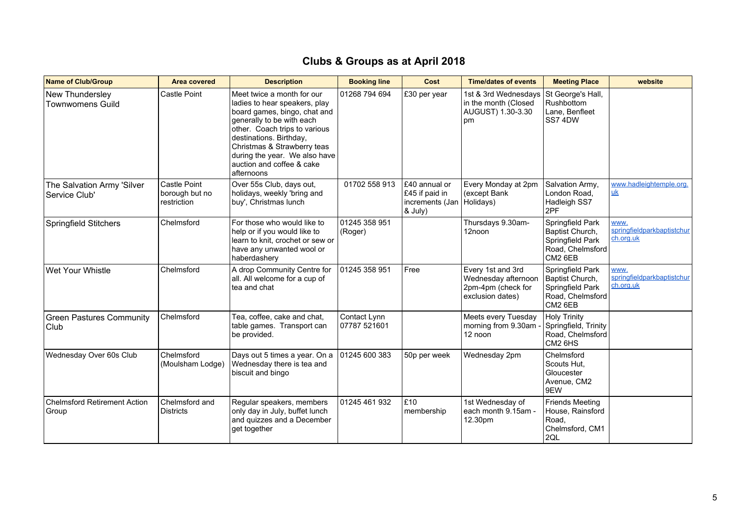| <b>Name of Club/Group</b>                    | <b>Area covered</b>                           | <b>Description</b>                                                                                                                                                                                                                                                                              | <b>Booking line</b>          | Cost                                                                      | <b>Time/dates of events</b>                                                        | <b>Meeting Place</b>                                                                   | website                                         |
|----------------------------------------------|-----------------------------------------------|-------------------------------------------------------------------------------------------------------------------------------------------------------------------------------------------------------------------------------------------------------------------------------------------------|------------------------------|---------------------------------------------------------------------------|------------------------------------------------------------------------------------|----------------------------------------------------------------------------------------|-------------------------------------------------|
| New Thundersley<br><b>Townwomens Guild</b>   | <b>Castle Point</b>                           | Meet twice a month for our<br>ladies to hear speakers, play<br>board games, bingo, chat and<br>generally to be with each<br>other. Coach trips to various<br>destinations. Birthday,<br>Christmas & Strawberry teas<br>during the year. We also have<br>auction and coffee & cake<br>afternoons | 01268 794 694                | £30 per year                                                              | 1st & 3rd Wednesdays<br>in the month (Closed<br>AUGUST) 1.30-3.30<br>l pm          | St George's Hall,<br>Rushbottom<br>Lane, Benfleet<br>SS74DW                            |                                                 |
| The Salvation Army 'Silver<br>Service Club'  | Castle Point<br>borough but no<br>restriction | Over 55s Club, days out,<br>holidays, weekly 'bring and<br>buy', Christmas lunch                                                                                                                                                                                                                | 01702 558 913                | £40 annual or<br>£45 if paid in<br>increments (Jan   Holidays)<br>& July) | Every Monday at 2pm<br>(except Bank                                                | Salvation Army,<br>London Road,<br>Hadleigh SS7<br>2PF                                 | www.hadleightemple.org.<br>$\underline{uk}$     |
| <b>Springfield Stitchers</b>                 | Chelmsford                                    | For those who would like to<br>help or if you would like to<br>learn to knit, crochet or sew or<br>have any unwanted wool or<br>haberdashery                                                                                                                                                    | 01245 358 951<br>(Roger)     |                                                                           | Thursdays 9.30am-<br>12noon                                                        | Springfield Park<br>Baptist Church,<br>Springfield Park<br>Road, Chelmsford<br>CM2 6EB | www.<br>springfieldparkbaptistchur<br>ch.org.uk |
| Wet Your Whistle                             | Chelmsford                                    | A drop Community Centre for<br>all. All welcome for a cup of<br>tea and chat                                                                                                                                                                                                                    | 01245 358 951                | Free                                                                      | Every 1st and 3rd<br>Wednesday afternoon<br>2pm-4pm (check for<br>exclusion dates) | Springfield Park<br>Baptist Church,<br>Springfield Park<br>Road, Chelmsford<br>CM2 6EB | www.<br>springfieldparkbaptistchur<br>ch.org.uk |
| <b>Green Pastures Community</b><br>Club      | Chelmsford                                    | Tea, coffee, cake and chat,<br>table games. Transport can<br>be provided.                                                                                                                                                                                                                       | Contact Lynn<br>07787 521601 |                                                                           | Meets every Tuesday<br>morning from 9.30am -<br>12 noon                            | <b>Holy Trinity</b><br>Springfield, Trinity<br>Road, Chelmsford<br>CM2 6HS             |                                                 |
| Wednesday Over 60s Club                      | Chelmsford<br>(Moulsham Lodge)                | Days out 5 times a year. On a<br>Wednesday there is tea and<br>biscuit and bingo                                                                                                                                                                                                                | 01245 600 383                | 50p per week                                                              | Wednesday 2pm                                                                      | Chelmsford<br>Scouts Hut,<br>Gloucester<br>Avenue, CM2<br>9EW                          |                                                 |
| <b>Chelmsford Retirement Action</b><br>Group | Chelmsford and<br><b>Districts</b>            | Regular speakers, members<br>only day in July, buffet lunch<br>and quizzes and a December<br>get together                                                                                                                                                                                       | 01245 461 932                | £10<br>membership                                                         | 1st Wednesday of<br>each month 9.15am -<br>12.30pm                                 | <b>Friends Meeting</b><br>House, Rainsford<br>Road,<br>Chelmsford, CM1<br>2QL          |                                                 |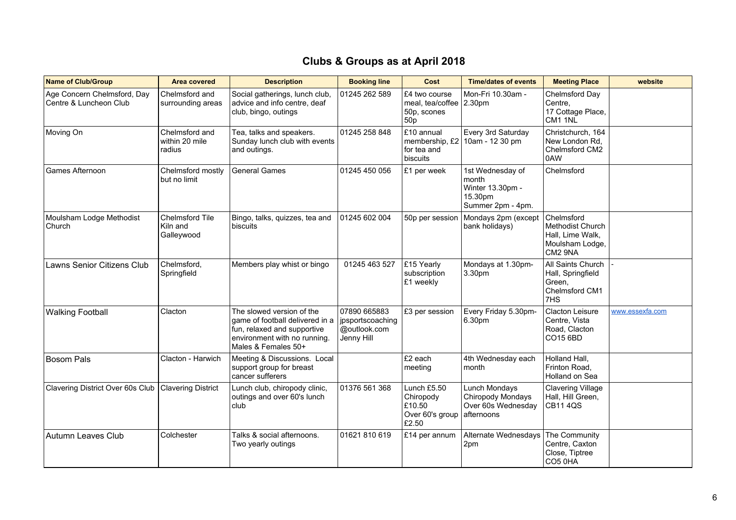| <b>Name of Club/Group</b>                             | <b>Area covered</b>                        | <b>Description</b>                                                                                                                                 | <b>Booking line</b>                                              | Cost                                                                       | <b>Time/dates of events</b>                                                   | <b>Meeting Place</b>                                                                    | website         |
|-------------------------------------------------------|--------------------------------------------|----------------------------------------------------------------------------------------------------------------------------------------------------|------------------------------------------------------------------|----------------------------------------------------------------------------|-------------------------------------------------------------------------------|-----------------------------------------------------------------------------------------|-----------------|
| Age Concern Chelmsford, Day<br>Centre & Luncheon Club | Chelmsford and<br>surrounding areas        | Social gatherings, lunch club,<br>advice and info centre, deaf<br>club, bingo, outings                                                             | 01245 262 589                                                    | £4 two course<br>meal, tea/coffee 2.30pm<br>50p, scones<br>50 <sub>p</sub> | Mon-Fri 10.30am -                                                             | Chelmsford Day<br>Centre,<br>17 Cottage Place,<br>CM1 1NL                               |                 |
| Moving On                                             | Chelmsford and<br>within 20 mile<br>radius | Tea, talks and speakers.<br>Sunday lunch club with events<br>and outings.                                                                          | 01245 258 848                                                    | £10 annual<br>for tea and<br>biscuits                                      | Every 3rd Saturday<br>membership, $£2 \mid 10$ am - 12 30 pm                  | Christchurch, 164<br>New London Rd,<br>Chelmsford CM2<br>0AW                            |                 |
| Games Afternoon                                       | Chelmsford mostly<br>but no limit          | <b>General Games</b>                                                                                                                               | 01245 450 056                                                    | £1 per week                                                                | 1st Wednesday of<br>month<br>Winter 13.30pm -<br>15.30pm<br>Summer 2pm - 4pm. | Chelmsford                                                                              |                 |
| Moulsham Lodge Methodist<br>Church                    | Chelmsford Tile<br>Kiln and<br>Galleywood  | Bingo, talks, quizzes, tea and<br>biscuits                                                                                                         | 01245 602 004                                                    | 50p per session                                                            | Mondays 2pm (except<br>bank holidays)                                         | Chelmsford<br><b>Methodist Church</b><br>Hall, Lime Walk,<br>Moulsham Lodge,<br>CM2 9NA |                 |
| Lawns Senior Citizens Club                            | Chelmsford,<br>Springfield                 | Members play whist or bingo                                                                                                                        | 01245 463 527                                                    | £15 Yearly<br>subscription<br>£1 weekly                                    | Mondays at 1.30pm-<br>3.30pm                                                  | All Saints Church<br>Hall, Springfield<br>Green,<br>Chelmsford CM1<br>7HS               |                 |
| <b>Walking Football</b>                               | Clacton                                    | The slowed version of the<br>game of football delivered in a<br>fun, relaxed and supportive<br>environment with no running.<br>Males & Females 50+ | 07890 665883<br>  jpsportscoaching<br>@outlook.com<br>Jenny Hill | £3 per session                                                             | Every Friday 5.30pm-<br>6.30pm                                                | Clacton Leisure<br>Centre, Vista<br>Road, Clacton<br>CO15 6BD                           | www.essexfa.com |
| <b>Bosom Pals</b>                                     | Clacton - Harwich                          | Meeting & Discussions. Local<br>support group for breast<br>cancer sufferers                                                                       |                                                                  | £2 each<br>meeting                                                         | 4th Wednesday each<br>month                                                   | Holland Hall,<br>Frinton Road,<br>Holland on Sea                                        |                 |
| Clavering District Over 60s Club                      | <b>Clavering District</b>                  | Lunch club, chiropody clinic,<br>outings and over 60's lunch<br>club                                                                               | 01376 561 368                                                    | Lunch £5.50<br>Chiropody<br>£10.50<br>Over 60's group<br>£2.50             | Lunch Mondays<br>Chiropody Mondays<br>Over 60s Wednesday<br>afternoons        | <b>Clavering Village</b><br>Hall, Hill Green,<br><b>CB11 4QS</b>                        |                 |
| Autumn Leaves Club                                    | Colchester                                 | Talks & social afternoons.<br>Two yearly outings                                                                                                   | 01621 810 619                                                    | £14 per annum                                                              | Alternate Wednesdays<br>2pm                                                   | The Community<br>Centre, Caxton<br>Close, Tiptree<br>CO5 0HA                            |                 |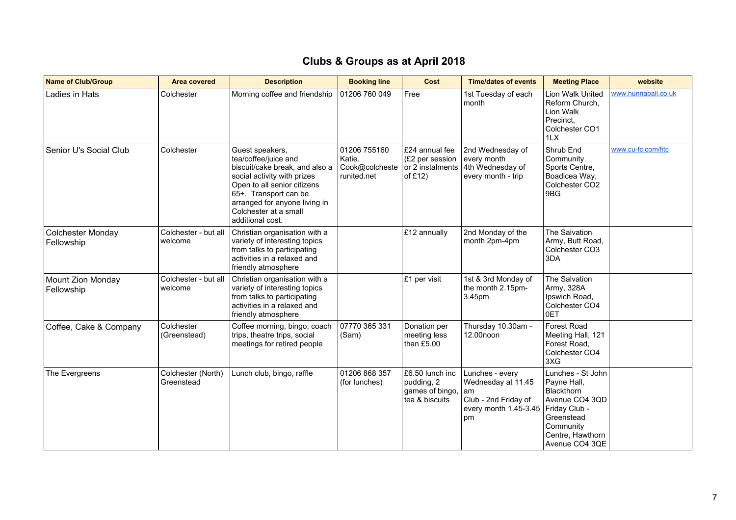| <b>Name of Club/Group</b>       | <b>Area covered</b>              | <b>Description</b>                                                                                                                                                                                                                             | <b>Booking line</b>                                     | Cost                                                               | <b>Time/dates of events</b>                                                                        | <b>Meeting Place</b>                                                                                                                                      | website             |
|---------------------------------|----------------------------------|------------------------------------------------------------------------------------------------------------------------------------------------------------------------------------------------------------------------------------------------|---------------------------------------------------------|--------------------------------------------------------------------|----------------------------------------------------------------------------------------------------|-----------------------------------------------------------------------------------------------------------------------------------------------------------|---------------------|
| Ladies in Hats                  | Colchester                       | Morning coffee and friendship                                                                                                                                                                                                                  | 01206 760 049                                           | Free                                                               | 1st Tuesday of each<br>month                                                                       | Lion Walk United<br>Reform Church,<br>Lion Walk<br>Precinct,<br>Colchester CO1<br>1LX                                                                     | www.hunnaball.co.uk |
| Senior U's Social Club          | Colchester                       | Guest speakers,<br>tea/coffee/juice and<br>biscuit/cake break, and also a<br>social activity with prizes<br>Open to all senior citizens<br>65+. Transport can be<br>arranged for anyone living in<br>Colchester at a small<br>additional cost. | 01206 755160<br>Katie.<br>Cook@colcheste<br>runited.net | E24 annual fee<br>(£2 per session<br>or 2 instalments<br>of £12)   | 2nd Wednesday of<br>every month<br>4th Wednesday of<br>every month - trip                          | Shrub End<br>Community<br>Sports Centre,<br>Boadicea Way,<br>Colchester CO <sub>2</sub><br>9BG                                                            | www.cu-fc.com/fitc  |
| Colchester Monday<br>Fellowship | Colchester - but all<br>welcome  | Christian organisation with a<br>variety of interesting topics<br>from talks to participating<br>activities in a relaxed and<br>friendly atmosphere                                                                                            |                                                         | £12 annually                                                       | 2nd Monday of the<br>month 2pm-4pm                                                                 | The Salvation<br>Army, Butt Road,<br>Colchester CO3<br>3DA                                                                                                |                     |
| Mount Zion Monday<br>Fellowship | Colchester - but all<br>welcome  | Christian organisation with a<br>variety of interesting topics<br>from talks to participating<br>activities in a relaxed and<br>friendly atmosphere                                                                                            |                                                         | £1 per visit                                                       | 1st & 3rd Monday of<br>the month 2.15pm-<br>3.45pm                                                 | The Salvation<br>Army, 328A<br>Ipswich Road,<br>Colchester CO4<br>0ET                                                                                     |                     |
| Coffee, Cake & Company          | Colchester<br>(Greenstead)       | Coffee morning, bingo, coach<br>trips, theatre trips, social<br>meetings for retired people                                                                                                                                                    | 07770 365 331<br>(Sam)                                  | Donation per<br>meeting less<br>than £5.00                         | Thursday 10.30am -<br>12.00noon                                                                    | Forest Road<br>Meeting Hall, 121<br>Forest Road,<br>Colchester CO4<br>3XG                                                                                 |                     |
| The Evergreens                  | Colchester (North)<br>Greenstead | Lunch club, bingo, raffle                                                                                                                                                                                                                      | 01206 868 357<br>(for lunches)                          | £6.50 lunch inc<br>pudding, 2<br>games of bingo,<br>tea & biscuits | Lunches - every<br>Wednesday at 11.45<br>am<br>Club - 2nd Friday of<br>every month 1.45-3.45<br>pm | Lunches - St John<br>Payne Hall,<br><b>Blackthorn</b><br>Avenue CO4 3QD<br>Friday Club -<br>Greenstead<br>Community<br>Centre, Hawthorn<br>Avenue CO4 3QE |                     |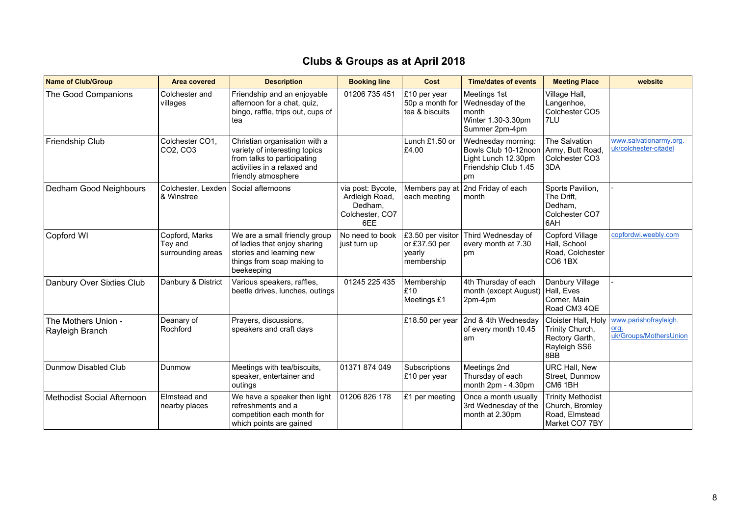| <b>Name of Club/Group</b>              | <b>Area covered</b>                            | <b>Description</b>                                                                                                                                  | <b>Booking line</b>                                                      | Cost                                                       | <b>Time/dates of events</b>                                                                     | <b>Meeting Place</b>                                                            | website                                                 |
|----------------------------------------|------------------------------------------------|-----------------------------------------------------------------------------------------------------------------------------------------------------|--------------------------------------------------------------------------|------------------------------------------------------------|-------------------------------------------------------------------------------------------------|---------------------------------------------------------------------------------|---------------------------------------------------------|
| The Good Companions                    | Colchester and<br>villages                     | Friendship and an enjoyable<br>afternoon for a chat, quiz,<br>bingo, raffle, trips out, cups of<br>tea                                              | 01206 735 451                                                            | £10 per year<br>50p a month for<br>tea & biscuits          | Meetings 1st<br>Wednesday of the<br>month<br>Winter 1.30-3.30pm<br>Summer 2pm-4pm               | Village Hall,<br>Langenhoe,<br>Colchester CO5<br>7LU                            |                                                         |
| Friendship Club                        | Colchester CO1,<br>CO2, CO3                    | Christian organisation with a<br>variety of interesting topics<br>from talks to participating<br>activities in a relaxed and<br>friendly atmosphere |                                                                          | Lunch £1.50 or<br>£4.00                                    | Wednesday morning:<br>Bowls Club 10-12noon<br>Light Lunch 12.30pm<br>Friendship Club 1.45<br>pm | The Salvation<br>Army, Butt Road,<br>Colchester CO3<br>3DA                      | www.salvationarmy.org.<br>uk/colchester-citadel         |
| Dedham Good Neighbours                 | Colchester, Lexden<br>& Winstree               | Social afternoons                                                                                                                                   | via post: Bycote,<br>Ardleigh Road,<br>Dedham,<br>Colchester, CO7<br>6EE | Members pay at<br>each meeting                             | 2nd Friday of each<br>month                                                                     | Sports Pavilion,<br>The Drift,<br>Dedham,<br>Colchester CO7<br>6AH              |                                                         |
| Copford WI                             | Copford, Marks<br>Tey and<br>surrounding areas | We are a small friendly group<br>of ladies that enjoy sharing<br>stories and learning new<br>things from soap making to<br>beekeeping               | No need to book<br>just turn up                                          | £3.50 per visitor<br>or £37.50 per<br>yearly<br>membership | Third Wednesday of<br>every month at 7.30<br>pm                                                 | Copford Village<br>Hall, School<br>Road, Colchester<br>CO6 1BX                  | copfordwi.weebly.com                                    |
| Danbury Over Sixties Club              | Danbury & District                             | Various speakers, raffles,<br>beetle drives, lunches, outings                                                                                       | 01245 225 435                                                            | Membership<br>£10<br>Meetings £1                           | 4th Thursday of each<br>month (except August)   Hall, Eves<br>2pm-4pm                           | Danbury Village<br>Corner, Main<br>Road CM3 4QE                                 |                                                         |
| The Mothers Union -<br>Rayleigh Branch | Deanary of<br>Rochford                         | Prayers, discussions,<br>speakers and craft days                                                                                                    |                                                                          | £18.50 per year                                            | 2nd & 4th Wednesday<br>of every month 10.45<br>am                                               | Cloister Hall, Holy<br>Trinity Church,<br>Rectory Garth,<br>Rayleigh SS6<br>8BB | www.parishofrayleigh.<br>org.<br>uk/Groups/MothersUnion |
| Dunmow Disabled Club                   | Dunmow                                         | Meetings with tea/biscuits,<br>speaker, entertainer and<br>outings                                                                                  | 01371 874 049                                                            | Subscriptions<br>£10 per year                              | Meetings 2nd<br>Thursday of each<br>month 2pm - 4.30pm                                          | URC Hall, New<br>Street, Dunmow<br>CM6 1BH                                      |                                                         |
| Methodist Social Afternoon             | Elmstead and<br>nearby places                  | We have a speaker then light<br>refreshments and a<br>competition each month for<br>which points are gained                                         | 01206 826 178                                                            | £1 per meeting                                             | Once a month usually<br>3rd Wednesday of the<br>month at 2.30pm                                 | <b>Trinity Methodist</b><br>Church, Bromley<br>Road, Elmstead<br>Market CO7 7BY |                                                         |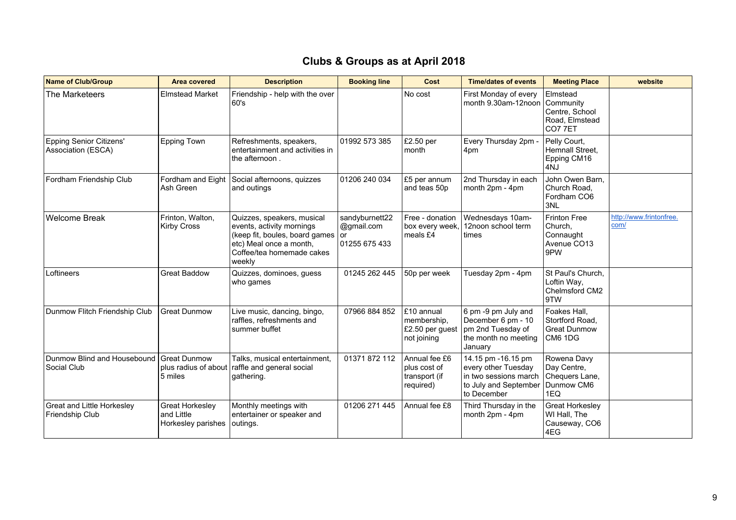| <b>Name of Club/Group</b>                            | <b>Area covered</b>                                    | <b>Description</b>                                                                                                                                             | <b>Booking line</b>                           | Cost                                                        | <b>Time/dates of events</b>                                                                                | <b>Meeting Place</b>                                                | website                         |
|------------------------------------------------------|--------------------------------------------------------|----------------------------------------------------------------------------------------------------------------------------------------------------------------|-----------------------------------------------|-------------------------------------------------------------|------------------------------------------------------------------------------------------------------------|---------------------------------------------------------------------|---------------------------------|
| The Marketeers                                       | <b>Elmstead Market</b>                                 | Friendship - help with the over<br>60's                                                                                                                        |                                               | No cost                                                     | First Monday of every<br>month 9.30am-12noon                                                               | Elmstead<br>Community<br>Centre, School<br>Road, Elmstead<br>CO77ET |                                 |
| <b>Epping Senior Citizens'</b><br>Association (ESCA) | <b>Epping Town</b>                                     | Refreshments, speakers,<br>entertainment and activities in<br>the afternoon.                                                                                   | 01992 573 385                                 | £2.50 per<br>month                                          | Every Thursday 2pm -<br>4pm                                                                                | Pelly Court,<br>Hemnall Street,<br>Epping CM16<br>4NJ               |                                 |
| Fordham Friendship Club                              | Ash Green                                              | Fordham and Eight Social afternoons, quizzes<br>and outings                                                                                                    | 01206 240 034                                 | £5 per annum<br>and teas 50p                                | 2nd Thursday in each<br>month 2pm - 4pm                                                                    | John Owen Barn,<br>Church Road.<br>Fordham CO6<br>3NL               |                                 |
| <b>Welcome Break</b>                                 | Frinton, Walton,<br><b>Kirby Cross</b>                 | Quizzes, speakers, musical<br>events, activity mornings<br>(keep fit, boules, board games or<br>etc) Meal once a month,<br>Coffee/tea homemade cakes<br>weekly | sandyburnett22<br>@gmail.com<br>01255 675 433 | Free - donation<br>box every week,<br>meals £4              | Wednesdays 10am-<br>12noon school term<br>times                                                            | <b>Frinton Free</b><br>Church.<br>Connaught<br>Avenue CO13<br>9PW   | http://www.frintonfree.<br>com/ |
| Loftineers                                           | <b>Great Baddow</b>                                    | Quizzes, dominoes, guess<br>who games                                                                                                                          | 01245 262 445                                 | 50p per week                                                | Tuesday 2pm - 4pm                                                                                          | St Paul's Church,<br>Loftin Way,<br>Chelmsford CM2<br>9TW           |                                 |
| Dunmow Flitch Friendship Club                        | <b>Great Dunmow</b>                                    | Live music, dancing, bingo,<br>raffles, refreshments and<br>summer buffet                                                                                      | 07966 884 852                                 | £10 annual<br>membership,<br>£2.50 per guest<br>not joining | 6 pm -9 pm July and<br>December 6 pm - 10<br>pm 2nd Tuesday of<br>the month no meeting<br>January          | Foakes Hall,<br>Stortford Road,<br><b>Great Dunmow</b><br>CM6 1DG   |                                 |
| Dunmow Blind and Housebound<br>Social Club           | <b>Great Dunmow</b><br>plus radius of about<br>5 miles | Talks, musical entertainment,<br>raffle and general social<br>gathering.                                                                                       | 01371 872 112                                 | Annual fee £6<br>plus cost of<br>transport (if<br>required) | 14.15 pm -16.15 pm<br>every other Tuesday<br>in two sessions march<br>to July and September<br>to December | Rowena Davy<br>Day Centre,<br>Chequers Lane,<br>Dunmow CM6<br>1EQ   |                                 |
| Great and Little Horkesley<br>Friendship Club        | Great Horkesley<br>and Little<br>Horkesley parishes    | Monthly meetings with<br>entertainer or speaker and<br>outings.                                                                                                | 01206 271 445                                 | Annual fee £8                                               | Third Thursday in the<br>month 2pm - 4pm                                                                   | Great Horkesley<br>WI Hall, The<br>Causeway, CO6<br>4EG             |                                 |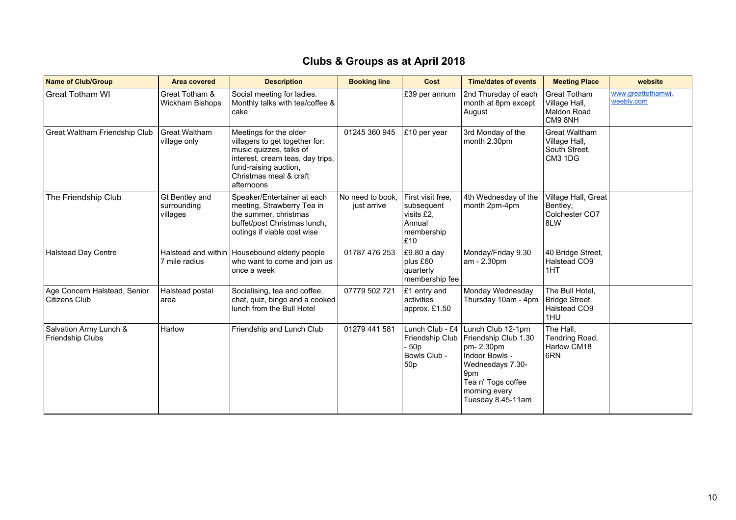| Name of Club/Group                                   | Area covered                              | <b>Description</b>                                                                                                                                                                       | <b>Booking line</b>             | Cost                                                                                    | <b>Time/dates of events</b>                                                                                                                                     | <b>Meeting Place</b>                                              | website                          |
|------------------------------------------------------|-------------------------------------------|------------------------------------------------------------------------------------------------------------------------------------------------------------------------------------------|---------------------------------|-----------------------------------------------------------------------------------------|-----------------------------------------------------------------------------------------------------------------------------------------------------------------|-------------------------------------------------------------------|----------------------------------|
| <b>Great Totham WI</b>                               | Great Totham &<br>Wickham Bishops         | Social meeting for ladies.<br>Monthly talks with tea/coffee &<br>cake                                                                                                                    |                                 | £39 per annum                                                                           | 2nd Thursday of each<br>month at 8pm except<br>August                                                                                                           | Great Totham<br>Village Hall,<br>Maldon Road<br>CM9 8NH           | www.greattothamwi.<br>weebly.com |
| Great Waltham Friendship Club                        | Great Waltham<br>village only             | Meetings for the older<br>villagers to get together for:<br>music quizzes, talks of<br>interest, cream teas, day trips,<br>fund-raising auction,<br>Christmas meal & craft<br>afternoons | 01245 360 945                   | £10 per year                                                                            | 3rd Monday of the<br>month 2.30pm                                                                                                                               | <b>Great Waltham</b><br>Village Hall,<br>South Street,<br>CM3 1DG |                                  |
| The Friendship Club                                  | Gt Bentley and<br>surrounding<br>villages | Speaker/Entertainer at each<br>meeting, Strawberry Tea in<br>the summer, christmas<br>buffet/post Christmas lunch,<br>outings if viable cost wise                                        | No need to book.<br>just arrive | First visit free,<br>subsequent<br>visits £2.<br>Annual<br>membership<br>$\mathsf{E}10$ | 4th Wednesday of the<br>month 2pm-4pm                                                                                                                           | Village Hall, Great<br>Bentley,<br>Colchester CO7<br>8LW          |                                  |
| <b>Halstead Day Centre</b>                           | Halstead and within<br>7 mile radius      | Housebound elderly people<br>who want to come and join us<br>once a week                                                                                                                 | 01787 476 253                   | £9.80 a day<br>plus £60<br>quarterly<br>membership fee                                  | Monday/Friday 9.30<br>am - 2.30pm                                                                                                                               | 40 Bridge Street,<br>Halstead CO9<br>1HT                          |                                  |
| Age Concern Halstead, Senior<br><b>Citizens Club</b> | Halstead postal<br>area                   | Socialising, tea and coffee,<br>chat, quiz, bingo and a cooked<br>lunch from the Bull Hotel                                                                                              | 07779 502 721                   | £1 entry and<br>activities<br>approx. £1.50                                             | Monday Wednesday<br>Thursday 10am - 4pm                                                                                                                         | The Bull Hotel,<br>Bridge Street,<br>Halstead CO9<br>1HU          |                                  |
| Salvation Army Lunch &<br>Friendship Clubs           | Harlow                                    | Friendship and Lunch Club                                                                                                                                                                | 01279 441 581                   | Lunch Club - £4<br>Friendship Club<br>- 50p<br>Bowls Club -<br>50p                      | Lunch Club 12-1pm<br>Friendship Club 1.30<br>pm-2.30pm<br>Indoor Bowls -<br>Wednesdays 7.30-<br>9pm<br>Tea n' Togs coffee<br>morning every<br>Tuesday 8.45-11am | The Hall,<br>Tendring Road,<br>Harlow CM18<br>6RN                 |                                  |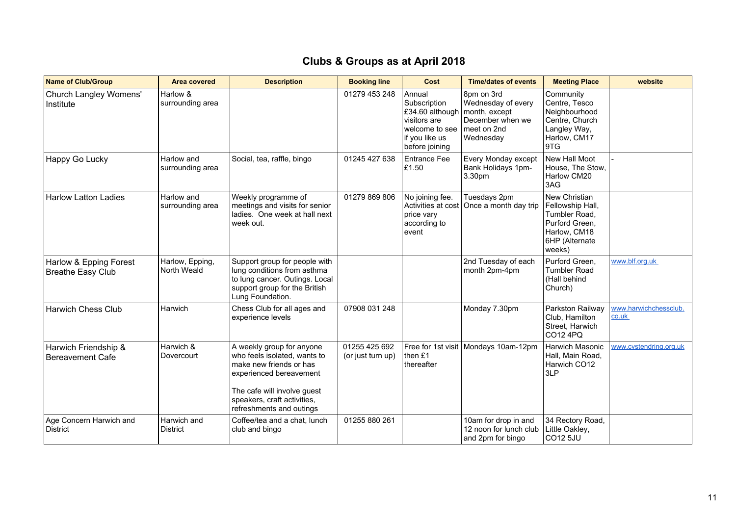| Name of Club/Group                                 | <b>Area covered</b>            | <b>Description</b>                                                                                                                                                                                        | <b>Booking line</b>                | Cost                                                                                                            | <b>Time/dates of events</b>                                                                       | <b>Meeting Place</b>                                                                                             | website                        |
|----------------------------------------------------|--------------------------------|-----------------------------------------------------------------------------------------------------------------------------------------------------------------------------------------------------------|------------------------------------|-----------------------------------------------------------------------------------------------------------------|---------------------------------------------------------------------------------------------------|------------------------------------------------------------------------------------------------------------------|--------------------------------|
| Church Langley Womens'<br>Institute                | Harlow &<br>surrounding area   |                                                                                                                                                                                                           | 01279 453 248                      | Annual<br>Subscription<br>£34.60 although<br>visitors are<br>welcome to see<br>if you like us<br>before joining | 8pm on 3rd<br>Wednesday of every<br>month, except<br>December when we<br>meet on 2nd<br>Wednesday | Community<br>Centre, Tesco<br>Neighbourhood<br>Centre, Church<br>Langley Way,<br>Harlow, CM17<br>9TG             |                                |
| Happy Go Lucky                                     | Harlow and<br>surrounding area | Social, tea, raffle, bingo                                                                                                                                                                                | 01245 427 638                      | <b>Entrance Fee</b><br>£1.50                                                                                    | Every Monday except<br>Bank Holidays 1pm-<br>3.30pm                                               | New Hall Moot<br>House, The Stow,<br>Harlow CM20<br>3AG                                                          |                                |
| <b>Harlow Latton Ladies</b>                        | Harlow and<br>surrounding area | Weekly programme of<br>meetings and visits for senior<br>ladies. One week at hall next<br>week out.                                                                                                       | 01279 869 806                      | No joining fee.<br>price vary<br>according to<br>event                                                          | Tuesdays 2pm<br>Activities at cost   Once a month day trip                                        | New Christian<br>Fellowship Hall,<br>Tumbler Road,<br>Purford Green.<br>Harlow, CM18<br>6HP (Alternate<br>weeks) |                                |
| Harlow & Epping Forest<br><b>Breathe Easy Club</b> | Harlow, Epping,<br>North Weald | Support group for people with<br>lung conditions from asthma<br>to lung cancer. Outings. Local<br>support group for the British<br>Lung Foundation.                                                       |                                    |                                                                                                                 | 2nd Tuesday of each<br>month 2pm-4pm                                                              | Purford Green.<br><b>Tumbler Road</b><br>(Hall behind<br>Church)                                                 | www.blf.org.uk                 |
| <b>Harwich Chess Club</b>                          | Harwich                        | Chess Club for all ages and<br>experience levels                                                                                                                                                          | 07908 031 248                      |                                                                                                                 | Monday 7.30pm                                                                                     | Parkston Railway<br>Club. Hamilton<br>Street, Harwich<br>CO12 4PQ                                                | www.harwichchessclub.<br>co.uk |
| Harwich Friendship &<br><b>Bereavement Cafe</b>    | Harwich &<br>Dovercourt        | A weekly group for anyone<br>who feels isolated, wants to<br>make new friends or has<br>experienced bereavement<br>The cafe will involve guest<br>speakers, craft activities,<br>refreshments and outings | 01255 425 692<br>(or just turn up) | then £1<br>thereafter                                                                                           | Free for 1st visit   Mondays 10am-12pm                                                            | Harwich Masonic<br>Hall, Main Road,<br>Harwich CO12<br>3LP                                                       | www.cvstendring.org.uk         |
| Age Concern Harwich and<br><b>District</b>         | Harwich and<br><b>District</b> | Coffee/tea and a chat. lunch<br>club and bingo                                                                                                                                                            | 01255 880 261                      |                                                                                                                 | 10am for drop in and<br>12 noon for lunch club<br>and 2pm for bingo                               | 34 Rectory Road,<br>Little Oakley,<br><b>CO12 5JU</b>                                                            |                                |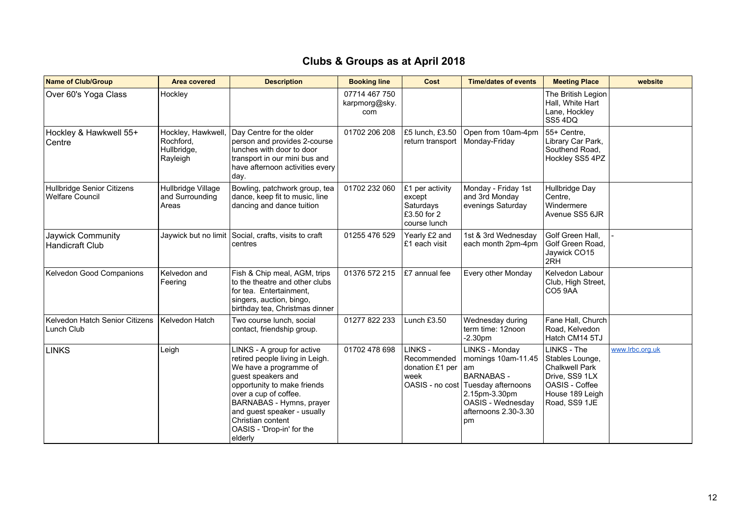| <b>Name of Club/Group</b>                            | <b>Area covered</b>                                        | <b>Description</b>                                                                                                                                                                                                                                                                            | <b>Booking line</b>                   | Cost                                                                  | <b>Time/dates of events</b>                                                                                                                                | <b>Meeting Place</b>                                                                                                            | website         |
|------------------------------------------------------|------------------------------------------------------------|-----------------------------------------------------------------------------------------------------------------------------------------------------------------------------------------------------------------------------------------------------------------------------------------------|---------------------------------------|-----------------------------------------------------------------------|------------------------------------------------------------------------------------------------------------------------------------------------------------|---------------------------------------------------------------------------------------------------------------------------------|-----------------|
| Over 60's Yoga Class                                 | Hockley                                                    |                                                                                                                                                                                                                                                                                               | 07714 467 750<br>karpmorg@sky.<br>com |                                                                       |                                                                                                                                                            | The British Legion<br>Hall, White Hart<br>Lane, Hockley<br>SS54DQ                                                               |                 |
| Hockley & Hawkwell 55+<br>Centre                     | Hockley, Hawkwell,<br>Rochford.<br>Hullbridge,<br>Rayleigh | Day Centre for the older<br>person and provides 2-course<br>lunches with door to door<br>transport in our mini bus and<br>have afternoon activities every<br>day.                                                                                                                             | 01702 206 208                         | £5 lunch, £3.50<br>return transport                                   | Open from 10am-4pm<br>Monday-Friday                                                                                                                        | 55+ Centre,<br>Library Car Park,<br>Southend Road,<br>Hockley SS5 4PZ                                                           |                 |
| Hullbridge Senior Citizens<br><b>Welfare Council</b> | Hullbridge Village<br>and Surrounding<br>Areas             | Bowling, patchwork group, tea<br>dance, keep fit to music, line<br>dancing and dance tuition                                                                                                                                                                                                  | 01702 232 060                         | £1 per activity<br>except<br>Saturdays<br>£3.50 for 2<br>course lunch | Monday - Friday 1st<br>and 3rd Monday<br>evenings Saturday                                                                                                 | Hullbridge Day<br>Centre,<br>Windermere<br>Avenue SS5 6JR                                                                       |                 |
| Jaywick Community<br>Handicraft Club                 |                                                            | Jaywick but no limit Social, crafts, visits to craft<br>centres                                                                                                                                                                                                                               | 01255 476 529                         | Yearly £2 and<br>E1 each visit                                        | 1st & 3rd Wednesday<br>each month 2pm-4pm                                                                                                                  | Golf Green Hall,<br>Golf Green Road,<br>Jaywick CO15<br>2RH                                                                     |                 |
| Kelvedon Good Companions                             | Kelvedon and<br>Feering                                    | Fish & Chip meal, AGM, trips<br>to the theatre and other clubs<br>for tea. Entertainment,<br>singers, auction, bingo,<br>birthday tea, Christmas dinner                                                                                                                                       | 01376 572 215                         | £7 annual fee                                                         | Every other Monday                                                                                                                                         | Kelvedon Labour<br>Club, High Street,<br><b>CO5 9AA</b>                                                                         |                 |
| Kelvedon Hatch Senior Citizens<br>Lunch Club         | Kelvedon Hatch                                             | Two course lunch, social<br>contact, friendship group.                                                                                                                                                                                                                                        | 01277 822 233                         | Lunch £3.50                                                           | Wednesday during<br>term time: 12noon<br>$-2.30pm$                                                                                                         | Fane Hall, Church<br>Road, Kelvedon<br>Hatch CM14 5TJ                                                                           |                 |
| <b>LINKS</b>                                         | Leigh                                                      | LINKS - A group for active<br>retired people living in Leigh.<br>We have a programme of<br>guest speakers and<br>opportunity to make friends<br>over a cup of coffee.<br>BARNABAS - Hymns, prayer<br>and guest speaker - usually<br>Christian content<br>OASIS - 'Drop-in' for the<br>elderly | 01702 478 698                         | LINKS -<br>Recommended<br>donation £1 per<br>week<br>OASIS - no cost  | LINKS - Monday<br>mornings 10am-11.45<br>am<br><b>BARNABAS -</b><br>Tuesday afternoons<br>2.15pm-3.30pm<br>OASIS - Wednesday<br>afternoons 2.30-3.30<br>pm | LINKS - The<br>Stables Lounge,<br><b>Chalkwell Park</b><br>Drive, SS9 1LX<br>OASIS - Coffee<br>House 189 Leigh<br>Road, SS9 1JE | www.lrbc.org.uk |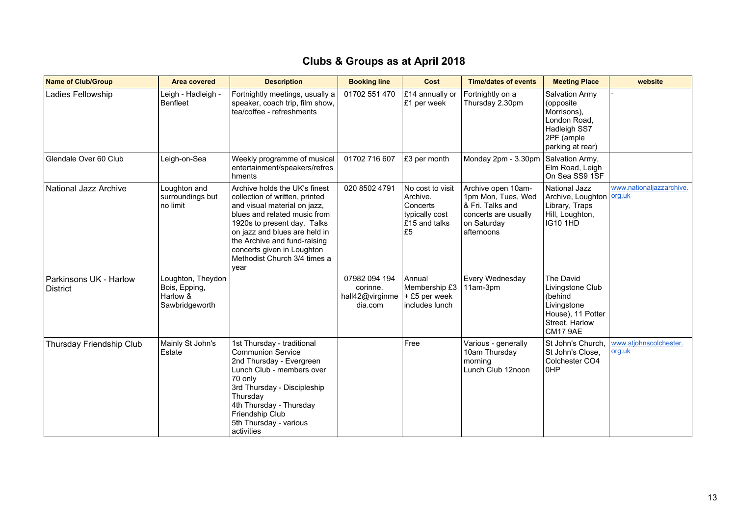| <b>Name of Club/Group</b>                 | <b>Area covered</b>                                              | <b>Description</b>                                                                                                                                                                                                                                                                                    | <b>Booking line</b>                                     | Cost                                                                              | <b>Time/dates of events</b>                                                                                       | <b>Meeting Place</b>                                                                                                | website                            |
|-------------------------------------------|------------------------------------------------------------------|-------------------------------------------------------------------------------------------------------------------------------------------------------------------------------------------------------------------------------------------------------------------------------------------------------|---------------------------------------------------------|-----------------------------------------------------------------------------------|-------------------------------------------------------------------------------------------------------------------|---------------------------------------------------------------------------------------------------------------------|------------------------------------|
| Ladies Fellowship                         | Leigh - Hadleigh -<br><b>Benfleet</b>                            | Fortnightly meetings, usually a<br>speaker, coach trip, film show,<br>tea/coffee - refreshments                                                                                                                                                                                                       | 01702 551 470                                           | £14 annually or<br>£1 per week                                                    | Fortnightly on a<br>Thursday 2.30pm                                                                               | <b>Salvation Army</b><br>(opposite<br>Morrisons),<br>London Road.<br>Hadleigh SS7<br>2PF (ample<br>parking at rear) |                                    |
| Glendale Over 60 Club                     | Leigh-on-Sea                                                     | Weekly programme of musical<br>entertainment/speakers/refres<br>hments                                                                                                                                                                                                                                | 01702 716 607                                           | £3 per month                                                                      | Monday 2pm - 3.30pm                                                                                               | Salvation Army,<br>Elm Road, Leigh<br>On Sea SS9 1SF                                                                |                                    |
| National Jazz Archive                     | Loughton and<br>surroundings but<br>no limit                     | Archive holds the UK's finest<br>collection of written, printed<br>and visual material on jazz,<br>blues and related music from<br>1920s to present day. Talks<br>on jazz and blues are held in<br>the Archive and fund-raising<br>concerts given in Loughton<br>Methodist Church 3/4 times a<br>year | 020 8502 4791                                           | No cost to visit<br>Archive.<br>Concerts<br>typically cost<br>£15 and talks<br>£5 | Archive open 10am-<br>1pm Mon, Tues, Wed<br>& Fri. Talks and<br>concerts are usually<br>on Saturday<br>afternoons | National Jazz<br>Archive, Loughton<br>Library, Traps<br>Hill, Loughton,<br><b>IG10 1HD</b>                          | www.nationaljazzarchive.<br>org.uk |
| Parkinsons UK - Harlow<br><b>District</b> | Loughton, Theydon<br>Bois, Epping,<br>Harlow &<br>Sawbridgeworth |                                                                                                                                                                                                                                                                                                       | 07982 094 194<br>corinne.<br>hall42@virginme<br>dia.com | Annual<br>Membership £3<br>$+E5$ per week<br>includes lunch                       | Every Wednesday<br>11am-3pm                                                                                       | The David<br>Livingstone Club<br>(behind<br>Livingstone<br>House), 11 Potter<br>Street. Harlow<br><b>CM17 9AE</b>   |                                    |
| Thursday Friendship Club                  | Mainly St John's<br>Estate                                       | 1st Thursday - traditional<br><b>Communion Service</b><br>2nd Thursday - Evergreen<br>Lunch Club - members over<br>70 only<br>3rd Thursday - Discipleship<br>Thursday<br>4th Thursday - Thursday<br>Friendship Club<br>5th Thursday - various<br>activities                                           |                                                         | Free                                                                              | Various - generally<br>10am Thursday<br>morning<br>Lunch Club 12noon                                              | St John's Church.<br>St John's Close,<br>Colchester CO4<br>0HP                                                      | www.stjohnscolchester.<br>org.uk   |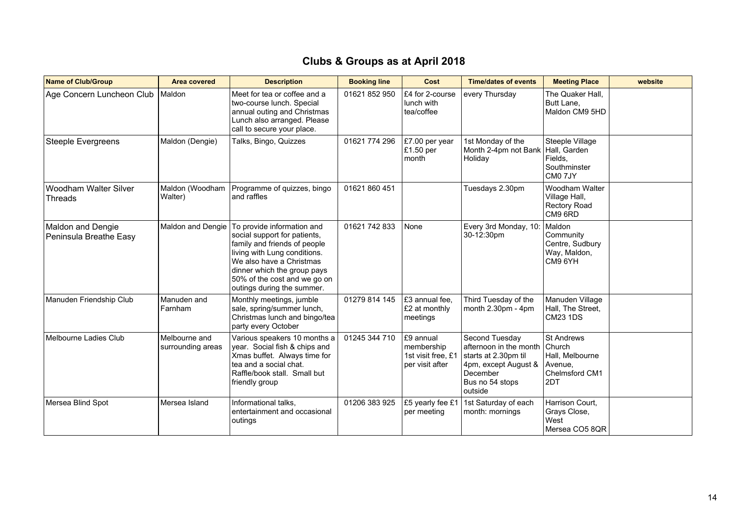| <b>Name of Club/Group</b>                   | <b>Area covered</b>                | <b>Description</b>                                                                                                                                                                                                                                  | <b>Booking line</b> | Cost                                                             | <b>Time/dates of events</b>                                                                                                        | <b>Meeting Place</b>                                                                      | website |
|---------------------------------------------|------------------------------------|-----------------------------------------------------------------------------------------------------------------------------------------------------------------------------------------------------------------------------------------------------|---------------------|------------------------------------------------------------------|------------------------------------------------------------------------------------------------------------------------------------|-------------------------------------------------------------------------------------------|---------|
| Age Concern Luncheon Club                   | Maldon                             | Meet for tea or coffee and a<br>two-course lunch. Special<br>annual outing and Christmas<br>Lunch also arranged. Please<br>call to secure your place.                                                                                               | 01621 852 950       | £4 for 2-course<br>lunch with<br>tea/coffee                      | every Thursday                                                                                                                     | The Quaker Hall.<br>Butt Lane,<br>Maldon CM9 5HD                                          |         |
| <b>Steeple Evergreens</b>                   | Maldon (Dengie)                    | Talks, Bingo, Quizzes                                                                                                                                                                                                                               | 01621 774 296       | £7.00 per year<br>$\mathsf{E}1.50$ per<br>month                  | 1st Monday of the<br>Month 2-4pm not Bank<br>Holiday                                                                               | Steeple Village<br>Hall. Garden<br>Fields.<br>Southminster<br>CM <sub>0</sub> 7JY         |         |
| Woodham Walter Silver<br>Threads            | Maldon (Woodham<br>Walter)         | Programme of quizzes, bingo<br>and raffles                                                                                                                                                                                                          | 01621 860 451       |                                                                  | Tuesdays 2.30pm                                                                                                                    | Woodham Walter<br>Village Hall,<br><b>Rectory Road</b><br>CM9 6RD                         |         |
| Maldon and Dengie<br>Peninsula Breathe Easy | Maldon and Dengie                  | To provide information and<br>social support for patients,<br>family and friends of people<br>living with Lung conditions.<br>We also have a Christmas<br>dinner which the group pays<br>50% of the cost and we go on<br>outings during the summer. | 01621 742 833       | None                                                             | Every 3rd Monday, 10:<br>30-12:30pm                                                                                                | Maldon<br>Community<br>Centre, Sudbury<br>Way, Maldon,<br>CM9 6YH                         |         |
| Manuden Friendship Club                     | Manuden and<br>Farnham             | Monthly meetings, jumble<br>sale, spring/summer lunch,<br>Christmas lunch and bingo/tea<br>party every October                                                                                                                                      | 01279 814 145       | £3 annual fee,<br>£2 at monthly<br>meetings                      | Third Tuesday of the<br>month $2.30 \text{pm}$ - 4pm                                                                               | Manuden Village<br>Hall, The Street,<br><b>CM23 1DS</b>                                   |         |
| Melbourne Ladies Club                       | Melbourne and<br>surrounding areas | Various speakers 10 months a<br>year. Social fish & chips and<br>Xmas buffet. Always time for<br>tea and a social chat.<br>Raffle/book stall. Small but<br>friendly group                                                                           | 01245 344 710       | E9 annual<br>membership<br>1st visit free, £1<br>per visit after | Second Tuesday<br>afternoon in the month<br>starts at 2.30pm til<br>4pm, except August &<br>December<br>Bus no 54 stops<br>outside | <b>St Andrews</b><br><b>Church</b><br>Hall, Melbourne<br>Avenue.<br>Chelmsford CM1<br>2DT |         |
| Mersea Blind Spot                           | Mersea Island                      | Informational talks.<br>entertainment and occasional<br>outings                                                                                                                                                                                     | 01206 383 925       | £5 yearly fee £1<br>per meeting                                  | 1st Saturday of each<br>month: mornings                                                                                            | Harrison Court.<br>Grays Close,<br>West<br>Mersea CO5 8QR                                 |         |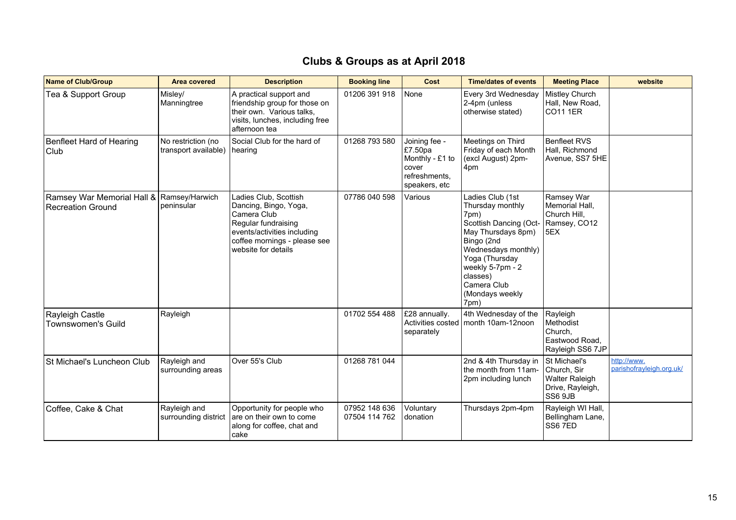| <b>Name of Club/Group</b>                              | <b>Area covered</b>                        | <b>Description</b>                                                                                                                                                         | <b>Booking line</b>            | Cost                                                                                   | <b>Time/dates of events</b>                                                                                                                                                                                                   | <b>Meeting Place</b>                                                                | website                                 |
|--------------------------------------------------------|--------------------------------------------|----------------------------------------------------------------------------------------------------------------------------------------------------------------------------|--------------------------------|----------------------------------------------------------------------------------------|-------------------------------------------------------------------------------------------------------------------------------------------------------------------------------------------------------------------------------|-------------------------------------------------------------------------------------|-----------------------------------------|
| Tea & Support Group                                    | Misley/<br>Manningtree                     | A practical support and<br>friendship group for those on<br>their own. Various talks,<br>visits, lunches, including free<br>afternoon tea                                  | 01206 391 918                  | None                                                                                   | Every 3rd Wednesday<br>2-4pm (unless<br>otherwise stated)                                                                                                                                                                     | Mistley Church<br>Hall, New Road,<br><b>CO11 1ER</b>                                |                                         |
| Benfleet Hard of Hearing<br>Club                       | No restriction (no<br>transport available) | Social Club for the hard of<br>hearing                                                                                                                                     | 01268 793 580                  | Joining fee -<br>£7.50pa<br>Monthly - £1 to<br>cover<br>refreshments,<br>speakers, etc | Meetings on Third<br>Friday of each Month<br>(excl August) 2pm-<br>4pm                                                                                                                                                        | <b>Benfleet RVS</b><br>Hall, Richmond<br>Avenue, SS7 5HE                            |                                         |
| Ramsey War Memorial Hall &<br><b>Recreation Ground</b> | Ramsey/Harwich<br>peninsular               | Ladies Club, Scottish<br>Dancing, Bingo, Yoga,<br>Camera Club<br>Regular fundraising<br>events/activities including<br>coffee mornings - please see<br>website for details | 07786 040 598                  | Various                                                                                | Ladies Club (1st<br>Thursday monthly<br>7pm)<br>Scottish Dancing (Oct-<br>May Thursdays 8pm)<br>Bingo (2nd<br>Wednesdays monthly)<br>Yoga (Thursday<br>weekly 5-7pm - 2<br>classes)<br>Camera Club<br>(Mondays weekly<br>7pm) | Ramsey War<br>Memorial Hall,<br>Church Hill.<br>Ramsey, CO12<br>5EX                 |                                         |
| Rayleigh Castle<br><b>Townswomen's Guild</b>           | Rayleigh                                   |                                                                                                                                                                            | 01702 554 488                  | £28 annually.<br>separately                                                            | 4th Wednesday of the<br>Activities costed   month 10am-12noon                                                                                                                                                                 | Rayleigh<br>Methodist<br>Church.<br>Eastwood Road,<br>Rayleigh SS6 7JP              |                                         |
| St Michael's Luncheon Club                             | Rayleigh and<br>surrounding areas          | Over 55's Club                                                                                                                                                             | 01268 781 044                  |                                                                                        | 2nd & 4th Thursday in<br>the month from 11am-<br>2pm including lunch                                                                                                                                                          | St Michael's<br>Church, Sir<br><b>Walter Raleigh</b><br>Drive, Rayleigh,<br>SS6 9JB | http://www.<br>parishofrayleigh.org.uk/ |
| Coffee, Cake & Chat                                    | Rayleigh and<br>surrounding district       | Opportunity for people who<br>are on their own to come<br>along for coffee, chat and<br>cake                                                                               | 07952 148 636<br>07504 114 762 | Voluntary<br>donation                                                                  | Thursdays 2pm-4pm                                                                                                                                                                                                             | Rayleigh WI Hall,<br>Bellingham Lane,<br>SS67ED                                     |                                         |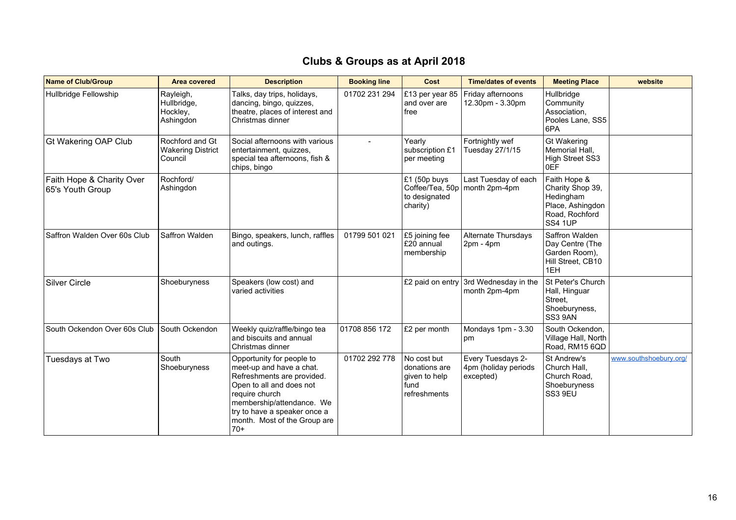| <b>Name of Club/Group</b>                     | Area covered                                             | <b>Description</b>                                                                                                                                                                                                                      | <b>Booking line</b> | <b>Cost</b>                                                           | <b>Time/dates of events</b>                             | <b>Meeting Place</b>                                                                           | website                |
|-----------------------------------------------|----------------------------------------------------------|-----------------------------------------------------------------------------------------------------------------------------------------------------------------------------------------------------------------------------------------|---------------------|-----------------------------------------------------------------------|---------------------------------------------------------|------------------------------------------------------------------------------------------------|------------------------|
| Hullbridge Fellowship                         | Rayleigh,<br>Hullbridge,<br>Hockley,<br>Ashingdon        | Talks, day trips, holidays,<br>dancing, bingo, quizzes,<br>theatre, places of interest and<br>Christmas dinner                                                                                                                          | 01702 231 294       | £13 per year 85<br>and over are<br>free                               | Friday afternoons<br>12.30pm - 3.30pm                   | Hullbridge<br>Community<br>Association,<br>Pooles Lane, SS5<br>6PA                             |                        |
| <b>Gt Wakering OAP Club</b>                   | Rochford and Gt<br><b>Wakering District</b><br>  Council | Social afternoons with various<br>entertainment, quizzes,<br>special tea afternoons, fish &<br>chips, bingo                                                                                                                             |                     | Yearly<br>subscription £1<br>per meeting                              | Fortnightly wef<br>Tuesday 27/1/15                      | <b>Gt Wakering</b><br>Memorial Hall,<br><b>High Street SS3</b><br>0EF                          |                        |
| Faith Hope & Charity Over<br>65's Youth Group | Rochford/<br>Ashingdon                                   |                                                                                                                                                                                                                                         |                     | £1 (50p buys<br>to designated<br>charity)                             | Last Tuesday of each<br>Coffee/Tea, 50p   month 2pm-4pm | Faith Hope &<br>Charity Shop 39,<br>Hedingham<br>Place, Ashingdon<br>Road, Rochford<br>SS4 1UP |                        |
| Saffron Walden Over 60s Club                  | Saffron Walden                                           | Bingo, speakers, lunch, raffles<br>and outings.                                                                                                                                                                                         | 01799 501 021       | £5 joining fee<br>£20 annual<br>membership                            | Alternate Thursdays<br>$2pm - 4pm$                      | Saffron Walden<br>Day Centre (The<br>Garden Room),<br>Hill Street, CB10<br>1EH                 |                        |
| <b>Silver Circle</b>                          | Shoeburyness                                             | Speakers (low cost) and<br>varied activities                                                                                                                                                                                            |                     | £2 paid on entry                                                      | 3rd Wednesday in the<br>month 2pm-4pm                   | St Peter's Church<br>Hall, Hinguar<br>Street.<br>Shoeburyness,<br>SS3 9AN                      |                        |
| South Ockendon Over 60s Club                  | South Ockendon                                           | Weekly quiz/raffle/bingo tea<br>and biscuits and annual<br>Christmas dinner                                                                                                                                                             | 01708 856 172       | £2 per month                                                          | Mondays 1pm - 3.30<br>pm                                | South Ockendon,<br>Village Hall, North<br>Road, RM15 6QD                                       |                        |
| Tuesdays at Two                               | South<br>Shoeburyness                                    | Opportunity for people to<br>meet-up and have a chat.<br>Refreshments are provided.<br>Open to all and does not<br>require church<br>membership/attendance. We<br>try to have a speaker once a<br>month. Most of the Group are<br>$70+$ | 01702 292 778       | No cost but<br>donations are<br>given to help<br>fund<br>refreshments | Every Tuesdays 2-<br>4pm (holiday periods<br>excepted)  | St Andrew's<br>Church Hall,<br>Church Road,<br>Shoeburyness<br>SS3 9EU                         | www.southshoebury.org/ |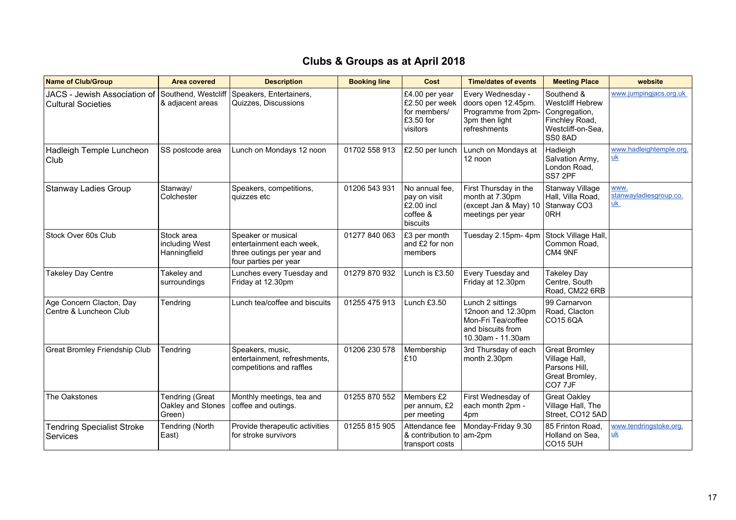| <b>Name of Club/Group</b>                                                     | <b>Area covered</b>                                   | <b>Description</b>                                                                                    | <b>Booking line</b> | Cost                                                                      | <b>Time/dates of events</b>                                                                            | <b>Meeting Place</b>                                                                                    | website                                            |
|-------------------------------------------------------------------------------|-------------------------------------------------------|-------------------------------------------------------------------------------------------------------|---------------------|---------------------------------------------------------------------------|--------------------------------------------------------------------------------------------------------|---------------------------------------------------------------------------------------------------------|----------------------------------------------------|
| JACS - Jewish Association of Southend, Westcliff<br><b>Cultural Societies</b> | & adjacent areas                                      | Speakers, Entertainers,<br>Quizzes, Discussions                                                       |                     | £4.00 per year<br>£2.50 per week<br>for members/<br>£3.50 for<br>visitors | Every Wednesday -<br>doors open 12.45pm.<br>Programme from 2pm-<br>3pm then light<br>refreshments      | Southend &<br><b>Westcliff Hebrew</b><br>Congregation,<br>Finchley Road,<br>Westcliff-on-Sea.<br>SS08AD | www.jumpingjacs.org.uk                             |
| Hadleigh Temple Luncheon<br>Club                                              | SS postcode area                                      | Lunch on Mondays 12 noon                                                                              | 01702 558 913       | £2.50 per lunch                                                           | Lunch on Mondays at<br>12 noon                                                                         | Hadleigh<br>Salvation Army,<br>London Road,<br>SS7 2PF                                                  | www.hadleightemple.org.<br><u>uk</u>               |
| Stanway Ladies Group                                                          | Stanway/<br>Colchester                                | Speakers, competitions,<br>quizzes etc                                                                | 01206 543 931       | No annual fee.<br>pay on visit<br>£2.00 incl<br>coffee &<br>biscuits      | First Thursday in the<br>month at 7.30pm<br>(except Jan & May) 10<br>meetings per year                 | <b>Stanway Village</b><br>Hall, Villa Road,<br>Stanway CO3<br>0RH                                       | www.<br>stanwayladiesgroup.co.<br>$\underline{uk}$ |
| Stock Over 60s Club                                                           | Stock area<br>including West<br>Hanningfield          | Speaker or musical<br>entertainment each week.<br>three outings per year and<br>four parties per year | 01277 840 063       | £3 per month<br>and £2 for non<br>members                                 | Tuesday 2.15pm- 4pm                                                                                    | Stock Village Hall,<br>Common Road,<br>CM4 9NF                                                          |                                                    |
| <b>Takeley Day Centre</b>                                                     | Takeley and<br>surroundings                           | Lunches every Tuesday and<br>Friday at 12.30pm                                                        | 01279 870 932       | Lunch is £3.50                                                            | Every Tuesday and<br>Friday at 12.30pm                                                                 | <b>Takeley Day</b><br>Centre, South<br>Road, CM22 6RB                                                   |                                                    |
| Age Concern Clacton, Day<br>Centre & Luncheon Club                            | Tendring                                              | Lunch tea/coffee and biscuits                                                                         | 01255 475 913       | Lunch £3.50                                                               | Lunch 2 sittings<br>12noon and 12.30pm<br>Mon-Fri Tea/coffee<br>and biscuits from<br>10.30am - 11.30am | 99 Carnarvon<br>Road, Clacton<br>CO15 6QA                                                               |                                                    |
| <b>Great Bromley Friendship Club</b>                                          | Tendring                                              | Speakers, music,<br>entertainment, refreshments,<br>competitions and raffles                          | 01206 230 578       | Membership<br>£10                                                         | 3rd Thursday of each<br>month 2.30pm                                                                   | <b>Great Bromley</b><br>Village Hall,<br>Parsons Hill,<br>Great Bromley,<br>CO7 7JF                     |                                                    |
| The Oakstones                                                                 | <b>Tendring (Great</b><br>Oakley and Stones<br>Green) | Monthly meetings, tea and<br>coffee and outings.                                                      | 01255 870 552       | Members £2<br>per annum, £2<br>per meeting                                | First Wednesday of<br>each month 2pm -<br>4pm                                                          | <b>Great Oakley</b><br>Village Hall, The<br>Street, CO12 5AD                                            |                                                    |
| <b>Tendring Specialist Stroke</b><br>Services                                 | <b>Tendring (North</b><br>East)                       | Provide therapeutic activities<br>for stroke survivors                                                | 01255 815 905       | Attendance fee<br>& contribution to $\vert$ am-2pm<br>transport costs     | Monday-Friday 9.30                                                                                     | 85 Frinton Road,<br>Holland on Sea,<br><b>CO15 5UH</b>                                                  | www.tendringstoke.org.<br><u>uk</u>                |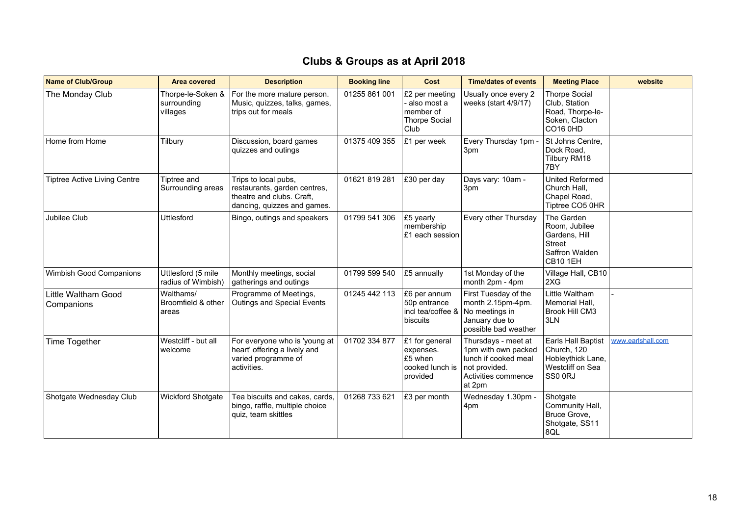| <b>Name of Club/Group</b>           | <b>Area covered</b>                          | <b>Description</b>                                                                                               | <b>Booking line</b> | Cost                                                                  | <b>Time/dates of events</b>                                                                                          | <b>Meeting Place</b>                                                                               | website           |
|-------------------------------------|----------------------------------------------|------------------------------------------------------------------------------------------------------------------|---------------------|-----------------------------------------------------------------------|----------------------------------------------------------------------------------------------------------------------|----------------------------------------------------------------------------------------------------|-------------------|
| The Monday Club                     | Thorpe-le-Soken &<br>surrounding<br>villages | For the more mature person.<br>Music, quizzes, talks, games,<br>trips out for meals                              | 01255 861 001       | £2 per meeting<br>also most a<br>Imember of<br>Thorpe Social<br>Club  | Usually once every 2<br>weeks (start 4/9/17)                                                                         | <b>Thorpe Social</b><br>Club, Station<br>Road, Thorpe-le-<br>Soken, Clacton<br>CO16 0HD            |                   |
| Home from Home                      | Tilbury                                      | Discussion, board games<br>quizzes and outings                                                                   | 01375 409 355       | £1 per week                                                           | Every Thursday 1pm -<br>3pm                                                                                          | St Johns Centre,<br>Dock Road.<br>Tilbury RM18<br>7BY                                              |                   |
| <b>Tiptree Active Living Centre</b> | Tiptree and<br>Surrounding areas             | Trips to local pubs,<br>restaurants, garden centres,<br>theatre and clubs. Craft,<br>dancing, quizzes and games. | 01621 819 281       | E30 per day                                                           | Days vary: 10am -<br>3pm                                                                                             | <b>United Reformed</b><br>Church Hall,<br>Chapel Road,<br>Tiptree CO5 0HR                          |                   |
| Jubilee Club                        | Uttlesford                                   | Bingo, outings and speakers                                                                                      | 01799 541 306       | £5 yearly<br>membership<br>£1 each session                            | Every other Thursday                                                                                                 | The Garden<br>Room, Jubilee<br>Gardens, Hill<br><b>Street</b><br>Saffron Walden<br><b>CB10 1EH</b> |                   |
| Wimbish Good Companions             | Uttlesford (5 mile<br>radius of Wimbish)     | Monthly meetings, social<br>gatherings and outings                                                               | 01799 599 540       | £5 annually                                                           | 1st Monday of the<br>month 2pm - 4pm                                                                                 | Village Hall, CB10<br>2XG                                                                          |                   |
| Little Waltham Good<br>Companions   | Walthams/<br>Broomfield & other<br>areas     | Programme of Meetings,<br>Outings and Special Events                                                             | 01245 442 113       | £6 per annum<br>50p entrance<br>incl tea/coffee &<br>biscuits         | First Tuesday of the<br>month 2.15pm-4pm.<br>No meetings in<br>January due to<br>possible bad weather                | Little Waltham<br>Memorial Hall,<br><b>Brook Hill CM3</b><br>3LN                                   |                   |
| Time Together                       | Westcliff - but all<br>welcome               | For everyone who is 'young at<br>heart' offering a lively and<br>varied programme of<br>activities.              | 01702 334 877       | £1 for general<br>expenses.<br>£5 when<br>cooked lunch is<br>provided | Thursdays - meet at<br>1pm with own packed<br>lunch if cooked meal<br>not provided.<br>Activities commence<br>at 2pm | Earls Hall Baptist<br>Church, 120<br>Hobleythick Lane,<br>Westcliff on Sea<br>SS00RJ               | www.earlshall.com |
| Shotgate Wednesday Club             | Wickford Shotgate                            | Tea biscuits and cakes, cards,<br>bingo, raffle, multiple choice<br>quiz, team skittles                          | 01268 733 621       | £3 per month                                                          | Wednesday 1.30pm -<br>4pm                                                                                            | Shotgate<br>Community Hall,<br>Bruce Grove,<br>Shotgate, SS11<br>8QL                               |                   |